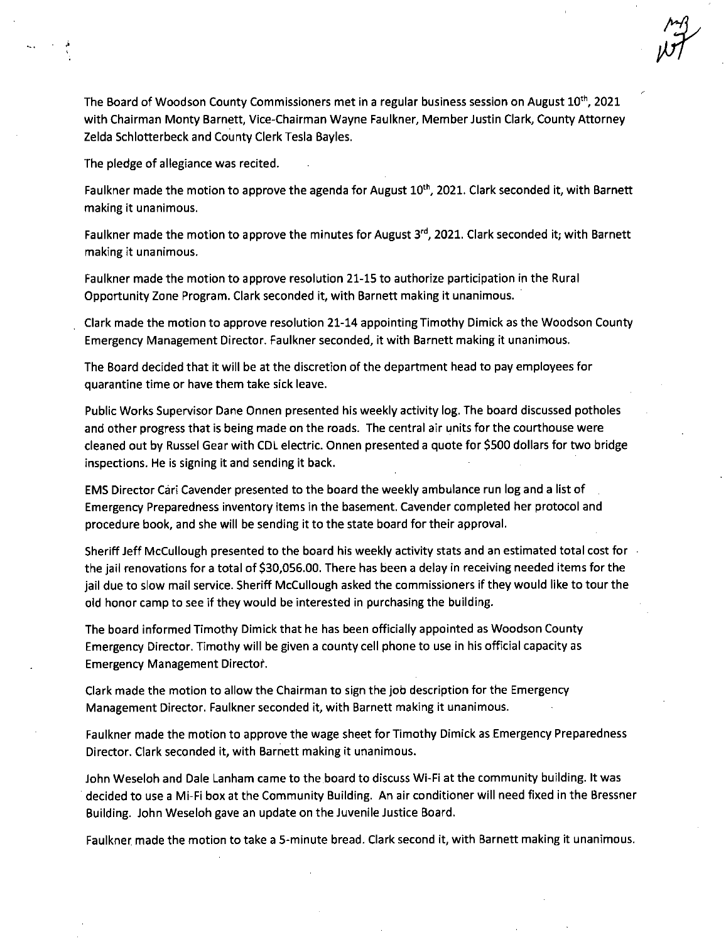The Board of Woodson County Commissioners met in a regular business session on August  $10<sup>th</sup>$ , 2021 with Chairman Monty Barnett, Vice-Chairman Wayne Faulkner, Member Justin Clark, County Attorney Zelda Schlotterbeck and County Clerk Tesla Bayles.

The pledge of allegiance was recited.

Faulkner made the motion to approve the agenda for August 10<sup>th</sup>, 2021. Clark seconded it, with Barnett making it unanimous.

Faulkner made the motion to approve the minutes for August 3<sup>rd</sup>, 2021. Clark seconded it; with Barnett making it unanimous.

Faulkner made the motion to approve resolution 21-15 to authorize participation in the Rural Opportunity Zone Program. Clark seconded it, with Barnett making it unanimous.

Clark made the motion to approve resolution 21-14 appointing Timothy Dimick as the Woodson County Emergency Management Director. Faulkner seconded, it with Barnett making it unanimous.

The Board decided that it will be at the discretion of the department head to pay employees for quarantine time or have them take sick leave.

Public Works Supervisor Dane Onnen presented his weekly activity log. The board discussed potholes and other progress that is being made on the roads. The central air units for the courthouse were cleaned out by Russel Gear with CDL electric. Onnen presented a quote for \$500 dollars for two bridge inspections. He is signing it and sending it back.

EMS Director Cari Cavender presented to the board the weekly ambulance run log and a list of Emergency Preparedness inventory items in the basement. Cavender completed her protocol and procedure book, and she will be sending it to the state board for their approval.

Sheriff Jeff McCullough presented to the board his weekly activity stats and an estimated total cost for the jail renovations for a total of \$30,056.00. There has been a delay in receiving needed items for the jail due to slow mail service. Sheriff McCullough asked the commissioners if they would like to tour the old honor camp to see if they would be interested in purchasing the building.

The board informed Timothy Dimick that he has been officially appointed as Woodson County Emergency Director. Timothy will be given a county cell phone to use in his official capacity as Emergency Management Director.

Clark made the motion to allow the Chairman to sign the job description for the Emergency Management Director. Faulkner seconded it, with Barnett making it unanimous.

Faulkner made the motion to approve the wage sheet for Timothy Dimick as Emergency Preparedness Director. Clark seconded it, with Barnett making it unanimous.

John Weseloh and Dale Lanham came to the board to discuss Wi-Fi at the community building. It was decided to use a Mi-Fi box at the Community Building. An air conditioner will need fixed in the Bressner Building. John Weseloh gave an update on the Juvenile Justice Board.

Faulkner made the motion to take a 5-minute bread. Clark second it, with Barnett making it unanimous.